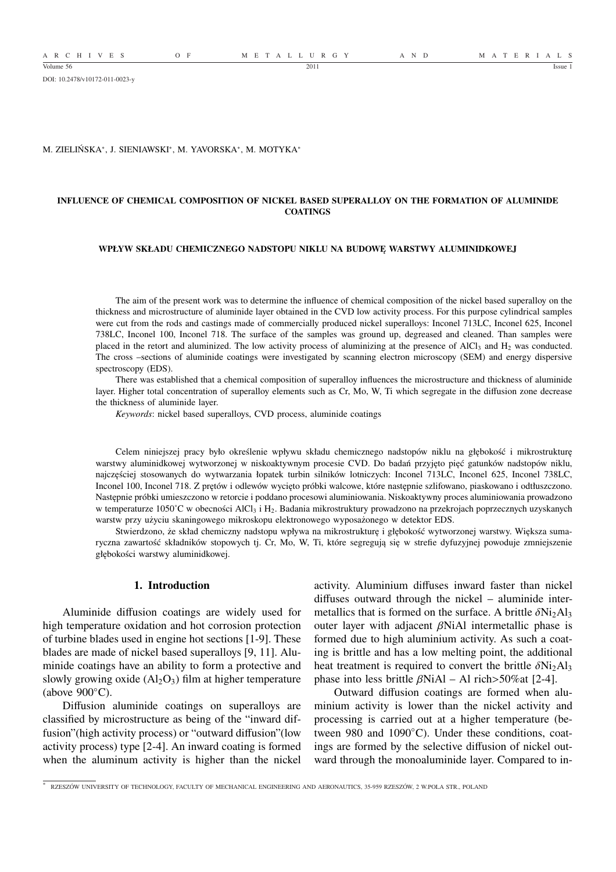A R C H I V E S O F M E T A L L U R G Y A N D M A T E R I A L S

DOI: 10.2478/v10172-011-0023-y

#### M. ZIELIŃSKA<sup>∗</sup> , J. SIENIAWSKI<sup>∗</sup> , M. YAVORSKA<sup>∗</sup> , M. MOTYKA<sup>∗</sup>

## **INFLUENCE OF CHEMICAL COMPOSITION OF NICKEL BASED SUPERALLOY ON THE FORMATION OF ALUMINIDE COATINGS**

# **WPŁYW SKŁADU CHEMICZNEGO NADSTOPU NIKLU NA BUDOWĘ WARSTWY ALUMINIDKOWEJ**

The aim of the present work was to determine the influence of chemical composition of the nickel based superalloy on the thickness and microstructure of aluminide layer obtained in the CVD low activity process. For this purpose cylindrical samples were cut from the rods and castings made of commercially produced nickel superalloys: Inconel 713LC, Inconel 625, Inconel 738LC, Inconel 100, Inconel 718. The surface of the samples was ground up, degreased and cleaned. Than samples were placed in the retort and aluminized. The low activity process of aluminizing at the presence of AlCl<sub>3</sub> and  $H_2$  was conducted. The cross –sections of aluminide coatings were investigated by scanning electron microscopy (SEM) and energy dispersive spectroscopy (EDS).

There was established that a chemical composition of superalloy influences the microstructure and thickness of aluminide layer. Higher total concentration of superalloy elements such as Cr, Mo, W, Ti which segregate in the diffusion zone decrease the thickness of aluminide layer.

*Keywords*: nickel based superalloys, CVD process, aluminide coatings

Celem niniejszej pracy było określenie wpływu składu chemicznego nadstopów niklu na głębokość i mikrostrukturę warstwy aluminidkowej wytworzonej w niskoaktywnym procesie CVD. Do badań przyjęto pięć gatunków nadstopów niklu, najczęściej stosowanych do wytwarzania łopatek turbin silników lotniczych: Inconel 713LC, Inconel 625, Inconel 738LC, Inconel 100, Inconel 718. Z prętów i odlewów wycięto próbki walcowe, które następnie szlifowano, piaskowano i odtłuszczono. Następnie próbki umieszczono w retorcie i poddano procesowi aluminiowania. Niskoaktywny proces aluminiowania prowadzono w temperaturze 1050°C w obecności AlCl<sub>3</sub> i H<sub>2</sub>. Badania mikrostruktury prowadzono na przekrojach poprzecznych uzyskanych warstw przy użyciu skaningowego mikroskopu elektronowego wyposażonego w detektor EDS.

Stwierdzono, że skład chemiczny nadstopu wpływa na mikrostrukturę i głębokość wytworzonej warstwy. Większa sumaryczna zawartość składników stopowych tj. Cr, Mo, W, Ti, które segregują się w strefie dyfuzyjnej powoduje zmniejszenie głębokości warstwy aluminidkowej.

# **1. Introduction**

Aluminide diffusion coatings are widely used for high temperature oxidation and hot corrosion protection of turbine blades used in engine hot sections [1-9]. These blades are made of nickel based superalloys [9, 11]. Aluminide coatings have an ability to form a protective and slowly growing oxide  $(AI_2O_3)$  film at higher temperature (above  $900^{\circ}$ C).

Diffusion aluminide coatings on superalloys are classified by microstructure as being of the "inward diffusion"(high activity process) or "outward diffusion"(low activity process) type [2-4]. An inward coating is formed when the aluminum activity is higher than the nickel activity. Aluminium diffuses inward faster than nickel diffuses outward through the nickel – aluminide intermetallics that is formed on the surface. A brittle  $\delta Ni<sub>2</sub>Al<sub>3</sub>$ outer layer with adjacent  $\beta$ NiAl intermetallic phase is formed due to high aluminium activity. As such a coating is brittle and has a low melting point, the additional heat treatment is required to convert the brittle  $\delta Ni<sub>2</sub>Al<sub>3</sub>$ phase into less brittle  $\beta$ NiAl – Al rich>50%at [2-4].

Outward diffusion coatings are formed when aluminium activity is lower than the nickel activity and processing is carried out at a higher temperature (between 980 and 1090℃). Under these conditions, coatings are formed by the selective diffusion of nickel outward through the monoaluminide layer. Compared to in-

<sup>∗</sup> RZESZÓW UNIVERSITY OF TECHNOLOGY, FACULTY OF MECHANICAL ENGINEERING AND AERONAUTICS, 35-959 RZESZÓW, 2 W.POLA STR., POLAND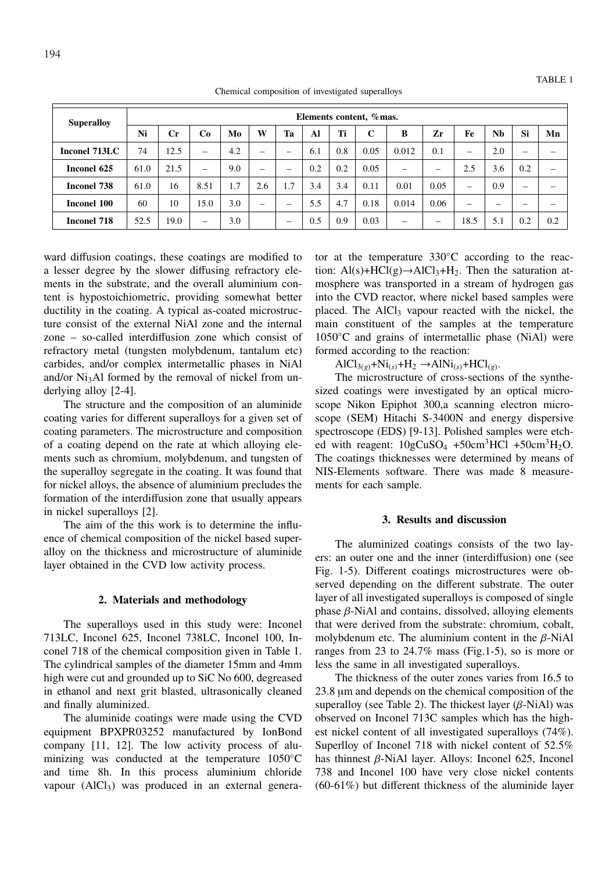| <b>Superalloy</b>  | Elements content, % mas. |                |                          |     |                          |                          |     |     |             |                          |      |                          |           |                          |     |
|--------------------|--------------------------|----------------|--------------------------|-----|--------------------------|--------------------------|-----|-----|-------------|--------------------------|------|--------------------------|-----------|--------------------------|-----|
|                    | Ni                       | $\mathbf{C}$ r | Co                       | Mo  | W                        | Ta                       | Al  | Ti  | $\mathbf C$ | B                        | Zr   | Fe                       | <b>Nb</b> | Si                       | Mn  |
| Inconel 713LC      | 74                       | 12.5           | —                        | 4.2 | $\qquad \qquad$          | -                        | 6.1 | 0.8 | 0.05        | 0.012                    | 0.1  | $\overline{\phantom{m}}$ | 2.0       | $\overline{\phantom{0}}$ |     |
| Inconel 625        | 61.0                     | 21.5           | $\overline{\phantom{m}}$ | 9.0 | $\overline{\phantom{m}}$ | –                        | 0.2 | 0.2 | 0.05        | $\overline{\phantom{0}}$ | –    | 2.5                      | 3.6       | 0.2                      |     |
| <b>Inconel 738</b> | 61.0                     | 16             | 8.51                     | 1.7 | 2.6                      | 1.7                      | 3.4 | 3.4 | 0.11        | 0.01                     | 0.05 | $\overline{\phantom{m}}$ | 0.9       | $\overline{\phantom{0}}$ |     |
| <b>Inconel 100</b> | 60                       | 10             | 15.0                     | 3.0 | $\overline{\phantom{0}}$ | $\overline{\phantom{0}}$ | 5.5 | 4.7 | 0.18        | 0.014                    | 0.06 | $\overline{\phantom{m}}$ | -         | -                        |     |
| <b>Inconel 718</b> | 52.5                     | 19.0           | $\overline{\phantom{m}}$ | 3.0 |                          | -                        | 0.5 | 0.9 | 0.03        |                          | –    | 18.5                     | 5.1       | 0.2                      | 0.2 |

Chemical composition of investigated superalloys

ward diffusion coatings, these coatings are modified to a lesser degree by the slower diffusing refractory elements in the substrate, and the overall aluminium content is hypostoichiometric, providing somewhat better ductility in the coating. A typical as-coated microstructure consist of the external NiAl zone and the internal zone – so-called interdiffusion zone which consist of refractory metal (tungsten molybdenum, tantalum etc) carbides, and/or complex intermetallic phases in NiAl and/or Ni<sub>3</sub>Al formed by the removal of nickel from underlying alloy [2-4].

The structure and the composition of an aluminide coating varies for different superalloys for a given set of coating parameters. The microstructure and composition of a coating depend on the rate at which alloying elements such as chromium, molybdenum, and tungsten of the superalloy segregate in the coating. It was found that for nickel alloys, the absence of aluminium precludes the formation of the interdiffusion zone that usually appears in nickel superalloys [2].

The aim of the this work is to determine the influence of chemical composition of the nickel based superalloy on the thickness and microstructure of aluminide layer obtained in the CVD low activity process.

## **2. Materials and methodology**

The superalloys used in this study were: Inconel 713LC, Inconel 625, Inconel 738LC, Inconel 100, Inconel 718 of the chemical composition given in Table 1. The cylindrical samples of the diameter 15mm and 4mm high were cut and grounded up to SiC No 600, degreased in ethanol and next grit blasted, ultrasonically cleaned and finally aluminized.

The aluminide coatings were made using the CVD equipment BPXPR03252 manufactured by IonBond company [11, 12]. The low activity process of aluminizing was conducted at the temperature 1050◦C and time 8h. In this process aluminium chloride vapour  $(AICl<sub>3</sub>)$  was produced in an external generator at the temperature 330◦C according to the reaction:  $Al(s) + HCl(g) \rightarrow AlCl<sub>3</sub>+H<sub>2</sub>$ . Then the saturation atmosphere was transported in a stream of hydrogen gas into the CVD reactor, where nickel based samples were placed. The  $AICI_3$  vapour reacted with the nickel, the main constituent of the samples at the temperature 1050◦C and grains of intermetallic phase (NiAl) were formed according to the reaction:

 $\text{AlCl}_{3(g)} + \text{Ni}_{(s)} + \text{H}_{2} \rightarrow \text{AlNi}_{(s)} + \text{HCl}_{(g)}$ .

The microstructure of cross-sections of the synthesized coatings were investigated by an optical microscope Nikon Epiphot 300,a scanning electron microscope (SEM) Hitachi S-3400N and energy dispersive spectroscope (EDS) [9-13]. Polished samples were etched with reagent:  $10gCuSO_4 + 50cm<sup>3</sup>HCl + 50cm<sup>3</sup>H<sub>2</sub>O$ . The coatings thicknesses were determined by means of NIS-Elements software. There was made 8 measurements for each sample.

#### **3. Results and discussion**

The aluminized coatings consists of the two layers: an outer one and the inner (interdiffusion) one (see Fig. 1-5). Different coatings microstructures were observed depending on the different substrate. The outer layer of all investigated superalloys is composed of single phase  $β$ -NiAl and contains, dissolved, alloying elements that were derived from the substrate: chromium, cobalt, molybdenum etc. The aluminium content in the  $\beta$ -NiAl ranges from 23 to 24.7% mass (Fig.1-5), so is more or less the same in all investigated superalloys.

The thickness of the outer zones varies from 16.5 to 23.8 µm and depends on the chemical composition of the superalloy (see Table 2). The thickest layer  $(\beta$ -NiAl) was observed on Inconel 713C samples which has the highest nickel content of all investigated superalloys (74%). Superlloy of Inconel 718 with nickel content of 52.5% has thinnest β-NiAl layer. Alloys: Inconel 625, Inconel 738 and Inconel 100 have very close nickel contents (60-61%) but different thickness of the aluminide layer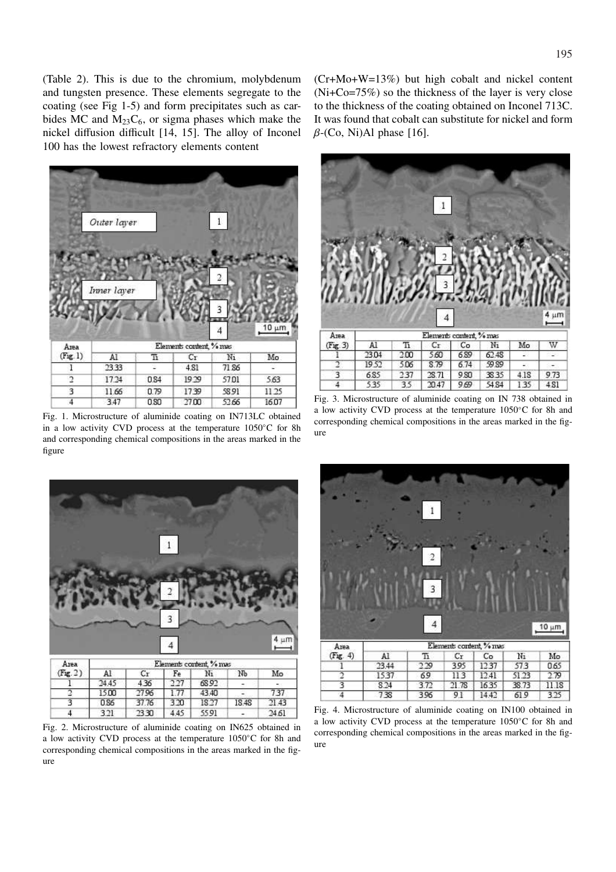(Table 2). This is due to the chromium, molybdenum and tungsten presence. These elements segregate to the coating (see Fig 1-5) and form precipitates such as carbides MC and  $M_{23}C_6$ , or sigma phases which make the nickel diffusion difficult [14, 15]. The alloy of Inconel 100 has the lowest refractory elements content



Fig. 1. Microstructure of aluminide coating on IN713LC obtained in a low activity CVD process at the temperature 1050◦C for 8h and corresponding chemical compositions in the areas marked in the figure



Fig. 2. Microstructure of aluminide coating on IN625 obtained in a low activity CVD process at the temperature 1050◦C for 8h and corresponding chemical compositions in the areas marked in the figure

(Cr+Mo+W=13%) but high cobalt and nickel content (Ni+Co=75%) so the thickness of the layer is very close to the thickness of the coating obtained on Inconel 713C. It was found that cobalt can substitute for nickel and form  $\beta$ -(Co, Ni)Al phase [16].



Fig. 3. Microstructure of aluminide coating on IN 738 obtained in a low activity CVD process at the temperature 1050◦C for 8h and corresponding chemical compositions in the areas marked in the figure



Fig. 4. Microstructure of aluminide coating on IN100 obtained in a low activity CVD process at the temperature 1050◦C for 8h and corresponding chemical compositions in the areas marked in the figure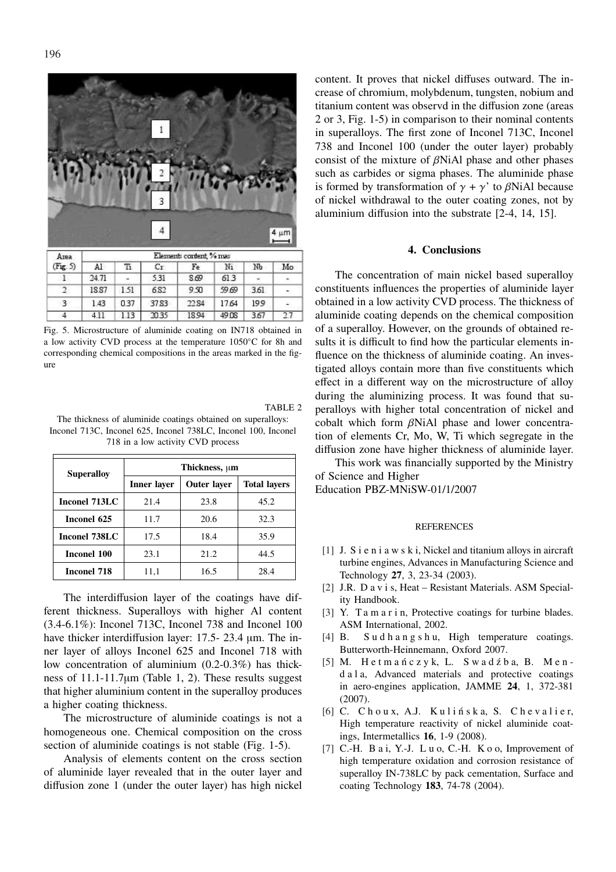196

 $\overline{A}$ 

3 4  $4 \mu m$ Elements content, % mas Area  $(Fig. 5)$ A1 Ŧí  $C_T$ Fe Ni Nb Mo 1  $24.71$ 531 8.69  $61.3$  $\overline{2}$ 18.87 1.51 6.82 9.50 59.69 3.61  $\overline{\mathbf{z}}$ 1.43 0.37 37.83 22.84 17.64 199

Fig. 5. Microstructure of aluminide coating on IN718 obtained in a low activity CVD process at the temperature 1050◦C for 8h and corresponding chemical compositions in the areas marked in the figure

2035

18.94

49.08

3.67

27

 $1.13$ 

411

| TABLE 2                                                        |
|----------------------------------------------------------------|
| The thickness of aluminide coatings obtained on superalloys:   |
| Inconel 713C, Inconel 625, Inconel 738LC, Inconel 100, Inconel |
| 718 in a low activity CVD process                              |

| <b>Superalloy</b> | Thickness, um |                    |                     |  |  |  |  |  |
|-------------------|---------------|--------------------|---------------------|--|--|--|--|--|
|                   | Inner layer   | <b>Outer layer</b> | <b>Total layers</b> |  |  |  |  |  |
| Inconel 713LC     | 21.4          | 23.8               | 45.2                |  |  |  |  |  |
| Inconel 625       | 11.7          | 20.6               | 32.3                |  |  |  |  |  |
| Inconel 738LC     | 17.5          | 18.4               | 35.9                |  |  |  |  |  |
| Inconel 100       | 23.1          | 21.2               | 44.5                |  |  |  |  |  |
| Inconel 718       | 11,1          | 16.5               | 28.4                |  |  |  |  |  |

The interdiffusion layer of the coatings have different thickness. Superalloys with higher Al content (3.4-6.1%): Inconel 713C, Inconel 738 and Inconel 100 have thicker interdiffusion layer: 17.5- 23.4 µm. The inner layer of alloys Inconel 625 and Inconel 718 with low concentration of aluminium (0.2-0.3%) has thickness of 11.1-11.7µm (Table 1, 2). These results suggest that higher aluminium content in the superalloy produces a higher coating thickness.

The microstructure of aluminide coatings is not a homogeneous one. Chemical composition on the cross section of aluminide coatings is not stable (Fig. 1-5).

Analysis of elements content on the cross section of aluminide layer revealed that in the outer layer and diffusion zone 1 (under the outer layer) has high nickel content. It proves that nickel diffuses outward. The increase of chromium, molybdenum, tungsten, nobium and titanium content was observd in the diffusion zone (areas 2 or 3, Fig. 1-5) in comparison to their nominal contents in superalloys. The first zone of Inconel 713C, Inconel 738 and Inconel 100 (under the outer layer) probably consist of the mixture of  $\beta$ NiAl phase and other phases such as carbides or sigma phases. The aluminide phase is formed by transformation of  $\gamma + \gamma'$  to βNiAl because of nickel withdrawal to the outer coating zones, not by aluminium diffusion into the substrate [2-4, 14, 15].

## **4. Conclusions**

The concentration of main nickel based superalloy constituents influences the properties of aluminide layer obtained in a low activity CVD process. The thickness of aluminide coating depends on the chemical composition of a superalloy. However, on the grounds of obtained results it is difficult to find how the particular elements influence on the thickness of aluminide coating. An investigated alloys contain more than five constituents which effect in a different way on the microstructure of alloy during the aluminizing process. It was found that superalloys with higher total concentration of nickel and cobalt which form βNiAl phase and lower concentration of elements Cr, Mo, W, Ti which segregate in the diffusion zone have higher thickness of aluminide layer.

This work was financially supported by the Ministry of Science and Higher Education PBZ-MNiSW-01/1/2007

#### **REFERENCES**

- [1] J. S i e n i a w s k i, Nickel and titanium alloys in aircraft turbine engines, Advances in Manufacturing Science and Technology **27**, 3, 23-34 (2003).
- [2] J.R. D a v i s, Heat Resistant Materials. ASM Speciality Handbook.
- [3] Y. T a m a r i n, Protective coatings for turbine blades. ASM International, 2002.
- [4] B. S u d h a n g s h u, High temperature coatings. Butterworth-Heinnemann, Oxford 2007.
- [5] M. Hetmańczyk, L. Swadźba, B. Mend a l a, Advanced materials and protective coatings in aero-engines application, JAMME **24**, 1, 372-381 (2007).
- $[6]$  C. Choux, A.J. Kulińska, S. Chevalier, High temperature reactivity of nickel aluminide coatings, Intermetallics **16**, 1-9 (2008).
- [7] C.-H. B a i, Y.-J. L u o, C.-H. K o o, Improvement of high temperature oxidation and corrosion resistance of superalloy IN-738LC by pack cementation, Surface and coating Technology **183**, 74-78 (2004).